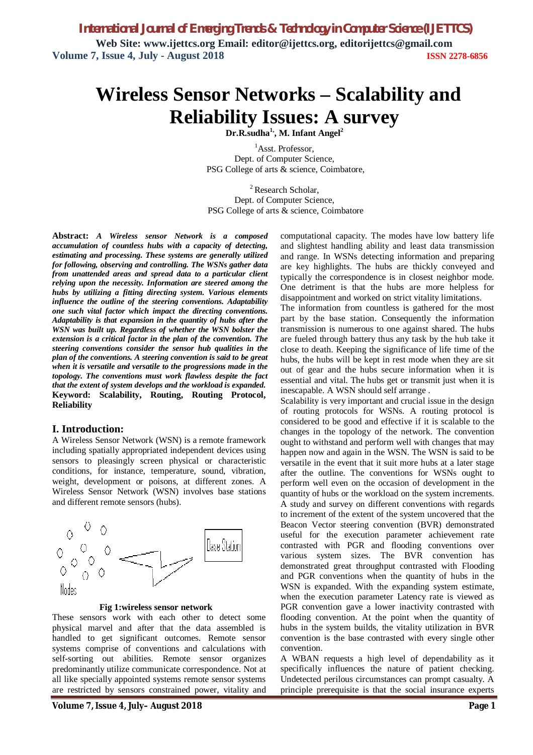*International Journal of Emerging Trends & Technology in Computer Science (IJETTCS)* **Web Site: www.ijettcs.org Email: editor@ijettcs.org, [editorijettcs@gmail.com](mailto:editorijettcs@gmail.com)  Volume 7, Issue 4, July - August 2018 ISSN 2278-6856**

# **Wireless Sensor Networks – Scalability and Reliability Issues: A survey**

**Dr.R.sudha1, , M. Infant Angel<sup>2</sup>**

<sup>1</sup>Asst. Professor. Dept. of Computer Science, PSG College of arts & science, Coimbatore,

<sup>2</sup> Research Scholar, Dept. of Computer Science, PSG College of arts & science, Coimbatore

**Abstract:** *A Wireless sensor Network is a composed accumulation of countless hubs with a capacity of detecting, estimating and processing. These systems are generally utilized for following, observing and controlling. The WSNs gather data from unattended areas and spread data to a particular client relying upon the necessity. Information are steered among the hubs by utilizing a fitting directing system. Various elements influence the outline of the steering conventions. Adaptability one such vital factor which impact the directing conventions. Adaptability is that expansion in the quantity of hubs after the WSN was built up. Regardless of whether the WSN bolster the extension is a critical factor in the plan of the convention. The steering conventions consider the sensor hub qualities in the plan of the conventions. A steering convention is said to be great when it is versatile and versatile to the progressions made in the topology. The conventions must work flawless despite the fact that the extent of system develops and the workload is expanded.* **Keyword: Scalability, Routing, Routing Protocol, Reliability**

#### **I. Introduction:**

A Wireless Sensor Network (WSN) is a remote framework including spatially appropriated independent devices using sensors to pleasingly screen physical or characteristic conditions, for instance, temperature, sound, vibration, weight, development or poisons, at different zones. A Wireless Sensor Network (WSN) involves base stations and different remote sensors (hubs).



 **Fig 1:wireless sensor network**

These sensors work with each other to detect some physical marvel and after that the data assembled is handled to get significant outcomes. Remote sensor systems comprise of conventions and calculations with self-sorting out abilities. Remote sensor organizes predominantly utilize communicate correspondence. Not at all like specially appointed systems remote sensor systems are restricted by sensors constrained power, vitality and

**Volume 7, Issue 4, July– August 2018 Page 1**

computational capacity. The modes have low battery life and slightest handling ability and least data transmission and range. In WSNs detecting information and preparing are key highlights. The hubs are thickly conveyed and typically the correspondence is in closest neighbor mode. One detriment is that the hubs are more helpless for disappointment and worked on strict vitality limitations.

The information from countless is gathered for the most part by the base station. Consequently the information transmission is numerous to one against shared. The hubs are fueled through battery thus any task by the hub take it close to death. Keeping the significance of life time of the hubs, the hubs will be kept in rest mode when they are sit out of gear and the hubs secure information when it is essential and vital. The hubs get or transmit just when it is inescapable. A WSN should self arrange .

Scalability is very important and crucial issue in the design of routing protocols for WSNs. A routing protocol is considered to be good and effective if it is scalable to the changes in the topology of the network. The convention ought to withstand and perform well with changes that may happen now and again in the WSN. The WSN is said to be versatile in the event that it suit more hubs at a later stage after the outline. The conventions for WSNs ought to perform well even on the occasion of development in the quantity of hubs or the workload on the system increments. A study and survey on different conventions with regards to increment of the extent of the system uncovered that the Beacon Vector steering convention (BVR) demonstrated useful for the execution parameter achievement rate contrasted with PGR and flooding conventions over various system sizes. The BVR convention has demonstrated great throughput contrasted with Flooding and PGR conventions when the quantity of hubs in the WSN is expanded. With the expanding system estimate, when the execution parameter Latency rate is viewed as PGR convention gave a lower inactivity contrasted with flooding convention. At the point when the quantity of hubs in the system builds, the vitality utilization in BVR convention is the base contrasted with every single other convention.

A WBAN requests a high level of dependability as it specifically influences the nature of patient checking. Undetected perilous circumstances can prompt casualty. A principle prerequisite is that the social insurance experts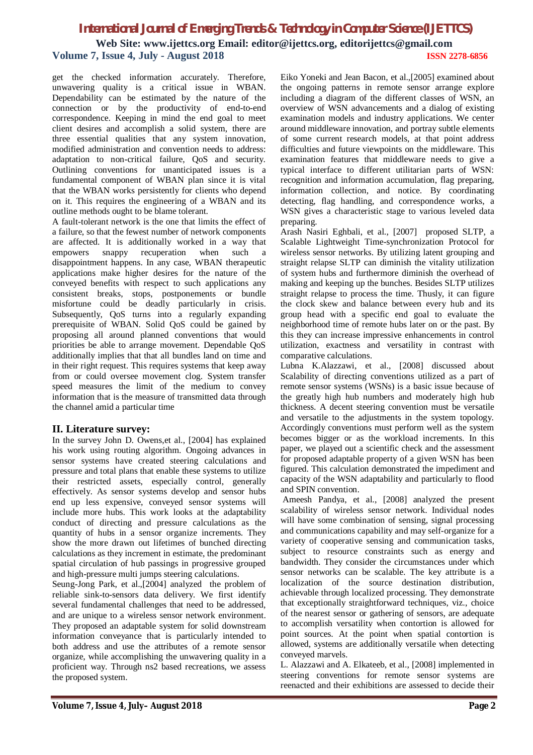## *International Journal of Emerging Trends & Technology in Computer Science (IJETTCS)* **Web Site: www.ijettcs.org Email: editor@ijettcs.org, [editorijettcs@gmail.com](mailto:editorijettcs@gmail.com)  Volume 7, Issue 4, July - August 2018 ISSN 2278-6856**

get the checked information accurately. Therefore, unwavering quality is a critical issue in WBAN. Dependability can be estimated by the nature of the connection or by the productivity of end-to-end correspondence. Keeping in mind the end goal to meet client desires and accomplish a solid system, there are three essential qualities that any system innovation, modified administration and convention needs to address: adaptation to non-critical failure, QoS and security. Outlining conventions for unanticipated issues is a fundamental component of WBAN plan since it is vital that the WBAN works persistently for clients who depend on it. This requires the engineering of a WBAN and its outline methods ought to be blame tolerant.

A fault-tolerant network is the one that limits the effect of a failure, so that the fewest number of network components are affected. It is additionally worked in a way that empowers snappy recuperation when such a disappointment happens. In any case, WBAN therapeutic applications make higher desires for the nature of the conveyed benefits with respect to such applications any consistent breaks, stops, postponements or bundle misfortune could be deadly particularly in crisis. Subsequently, QoS turns into a regularly expanding prerequisite of WBAN. Solid QoS could be gained by proposing all around planned conventions that would priorities be able to arrange movement. Dependable QoS additionally implies that that all bundles land on time and in their right request. This requires systems that keep away from or could oversee movement clog. System transfer speed measures the limit of the medium to convey information that is the measure of transmitted data through the channel amid a particular time

#### **II. Literature survey:**

In the survey John D. Owens,et al., [2004] has explained his work using routing algorithm. Ongoing advances in sensor systems have created steering calculations and pressure and total plans that enable these systems to utilize their restricted assets, especially control, generally effectively. As sensor systems develop and sensor hubs end up less expensive, conveyed sensor systems will include more hubs. This work looks at the adaptability conduct of directing and pressure calculations as the quantity of hubs in a sensor organize increments. They show the more drawn out lifetimes of bunched directing calculations as they increment in estimate, the predominant spatial circulation of hub passings in progressive grouped and high-pressure multi jumps steering calculations.

Seung-Jong Park, et al.,[2004] analyzed the problem of reliable sink-to-sensors data delivery. We first identify several fundamental challenges that need to be addressed, and are unique to a wireless sensor network environment. They proposed an adaptable system for solid downstream information conveyance that is particularly intended to both address and use the attributes of a remote sensor organize, while accomplishing the unwavering quality in a proficient way. Through ns2 based recreations, we assess the proposed system.

Eiko Yoneki and Jean Bacon, et al.,[2005] examined about the ongoing patterns in remote sensor arrange explore including a diagram of the different classes of WSN, an overview of WSN advancements and a dialog of existing examination models and industry applications. We center around middleware innovation, and portray subtle elements of some current research models, at that point address difficulties and future viewpoints on the middleware. This examination features that middleware needs to give a typical interface to different utilitarian parts of WSN: recognition and information accumulation, flag preparing, information collection, and notice. By coordinating detecting, flag handling, and correspondence works, a WSN gives a characteristic stage to various leveled data preparing.

Arash Nasiri Eghbali, et al., [2007] proposed SLTP, a Scalable Lightweight Time-synchronization Protocol for wireless sensor networks. By utilizing latent grouping and straight relapse SLTP can diminish the vitality utilization of system hubs and furthermore diminish the overhead of making and keeping up the bunches. Besides SLTP utilizes straight relapse to process the time. Thusly, it can figure the clock skew and balance between every hub and its group head with a specific end goal to evaluate the neighborhood time of remote hubs later on or the past. By this they can increase impressive enhancements in control utilization, exactness and versatility in contrast with comparative calculations.

Lubna K.Alazzawi, et al., [2008] discussed about Scalability of directing conventions utilized as a part of remote sensor systems (WSNs) is a basic issue because of the greatly high hub numbers and moderately high hub thickness. A decent steering convention must be versatile and versatile to the adjustments in the system topology. Accordingly conventions must perform well as the system becomes bigger or as the workload increments. In this paper, we played out a scientific check and the assessment for proposed adaptable property of a given WSN has been figured. This calculation demonstrated the impediment and capacity of the WSN adaptability and particularly to flood and SPIN convention.

Ameesh Pandya, et al., [2008] analyzed the present scalability of wireless sensor network. Individual nodes will have some combination of sensing, signal processing and communications capability and may self-organize for a variety of cooperative sensing and communication tasks, subject to resource constraints such as energy and bandwidth. They consider the circumstances under which sensor networks can be scalable. The key attribute is a localization of the source destination distribution, achievable through localized processing. They demonstrate that exceptionally straightforward techniques, viz., choice of the nearest sensor or gathering of sensors, are adequate to accomplish versatility when contortion is allowed for point sources. At the point when spatial contortion is allowed, systems are additionally versatile when detecting conveyed marvels.

L. Alazzawi and A. Elkateeb, et al., [2008] implemented in steering conventions for remote sensor systems are reenacted and their exhibitions are assessed to decide their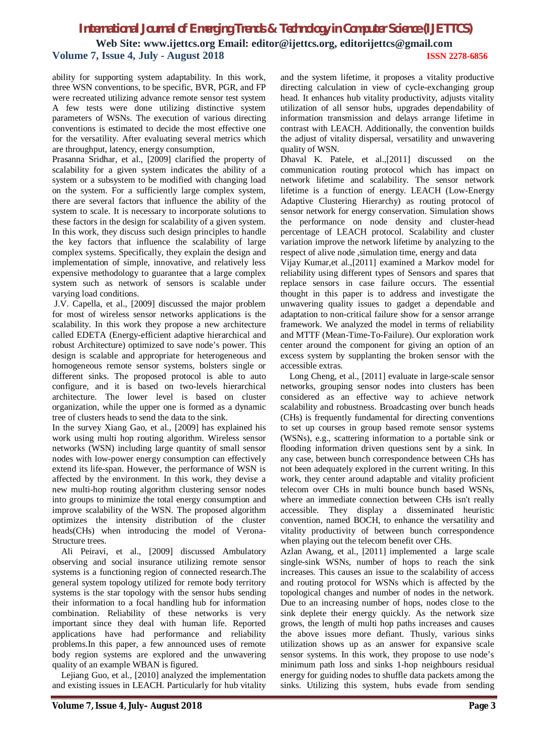# *International Journal of Emerging Trends & Technology in Computer Science (IJETTCS)*

**Web Site: www.ijettcs.org Email: editor@ijettcs.org, [editorijettcs@gmail.com](mailto:editorijettcs@gmail.com)  Volume 7, Issue 4, July - August 2018 ISSN 2278-6856**

ability for supporting system adaptability. In this work, three WSN conventions, to be specific, BVR, PGR, and FP were recreated utilizing advance remote sensor test system A few tests were done utilizing distinctive system parameters of WSNs. The execution of various directing conventions is estimated to decide the most effective one for the versatility. After evaluating several metrics which are throughput, latency, energy consumption,

Prasanna Sridhar, et al., [2009] clarified the property of scalability for a given system indicates the ability of a system or a subsystem to be modified with changing load on the system. For a sufficiently large complex system, there are several factors that influence the ability of the system to scale. It is necessary to incorporate solutions to these factors in the design for scalability of a given system. In this work, they discuss such design principles to handle the key factors that influence the scalability of large complex systems. Specifically, they explain the design and implementation of simple, innovative, and relatively less expensive methodology to guarantee that a large complex system such as network of sensors is scalable under varying load conditions.

J.V. Capella, et al., [2009] discussed the major problem for most of wireless sensor networks applications is the scalability. In this work they propose a new architecture called EDETA (Energy-efficient adaptive hierarchical and robust Architecture) optimized to save node's power. This design is scalable and appropriate for heterogeneous and homogeneous remote sensor systems, bolsters single or different sinks. The proposed protocol is able to auto configure, and it is based on two-levels hierarchical architecture. The lower level is based on cluster organization, while the upper one is formed as a dynamic tree of clusters heads to send the data to the sink.

In the survey Xiang Gao, et al., [2009] has explained his work using multi hop routing algorithm. Wireless sensor networks (WSN) including large quantity of small sensor nodes with low-power energy consumption can effectively extend its life-span. However, the performance of WSN is affected by the environment. In this work, they devise a new multi-hop routing algorithm clustering sensor nodes into groups to minimize the total energy consumption and improve scalability of the WSN. The proposed algorithm optimizes the intensity distribution of the cluster heads(CHs) when introducing the model of Verona-Structure trees.

Ali Peiravi, et al., [2009] discussed Ambulatory observing and social insurance utilizing remote sensor systems is a functioning region of connected research.The general system topology utilized for remote body territory systems is the star topology with the sensor hubs sending their information to a focal handling hub for information combination. Reliability of these networks is very important since they deal with human life. Reported applications have had performance and reliability problems.In this paper, a few announced uses of remote body region systems are explored and the unwavering quality of an example WBAN is figured.

Lejiang Guo, et al., [2010] analyzed the implementation and existing issues in LEACH. Particularly for hub vitality

and the system lifetime, it proposes a vitality productive directing calculation in view of cycle-exchanging group head. It enhances hub vitality productivity, adjusts vitality utilization of all sensor hubs, upgrades dependability of information transmission and delays arrange lifetime in contrast with LEACH. Additionally, the convention builds the adjust of vitality dispersal, versatility and unwavering quality of WSN.

Dhaval K. Patele, et al.,[2011] discussed on the communication routing protocol which has impact on network lifetime and scalability. The sensor network lifetime is a function of energy. LEACH (Low-Energy Adaptive Clustering Hierarchy) as routing protocol of sensor network for energy conservation. Simulation shows the performance on node density and cluster-head percentage of LEACH protocol. Scalability and cluster variation improve the network lifetime by analyzing to the respect of alive node ,simulation time, energy and data

Vijay Kumar,et al.,[2011] examined a Markov model for reliability using different types of Sensors and spares that replace sensors in case failure occurs. The essential thought in this paper is to address and investigate the unwavering quality issues to gadget a dependable and adaptation to non-critical failure show for a sensor arrange framework. We analyzed the model in terms of reliability and MTTF (Mean-Time-To-Failure). Our exploration work center around the component for giving an option of an excess system by supplanting the broken sensor with the accessible extras.

Long Cheng, et al., [2011] evaluate in large-scale sensor networks, grouping sensor nodes into clusters has been considered as an effective way to achieve network scalability and robustness. Broadcasting over bunch heads (CHs) is frequently fundamental for directing conventions to set up courses in group based remote sensor systems (WSNs), e.g., scattering information to a portable sink or flooding information driven questions sent by a sink. In any case, between bunch correspondence between CHs has not been adequately explored in the current writing. In this work, they center around adaptable and vitality proficient telecom over CHs in multi bounce bunch based WSNs, where an immediate connection between CHs isn't really accessible. They display a disseminated heuristic convention, named BOCH, to enhance the versatility and vitality productivity of between bunch correspondence when playing out the telecom benefit over CHs.

Azlan Awang, et al., [2011] implemented a large scale single-sink WSNs, number of hops to reach the sink increases. This causes an issue to the scalability of access and routing protocol for WSNs which is affected by the topological changes and number of nodes in the network. Due to an increasing number of hops, nodes close to the sink deplete their energy quickly. As the network size grows, the length of multi hop paths increases and causes the above issues more defiant. Thusly, various sinks utilization shows up as an answer for expansive scale sensor systems. In this work, they propose to use node's minimum path loss and sinks 1-hop neighbours residual energy for guiding nodes to shuffle data packets among the sinks. Utilizing this system, hubs evade from sending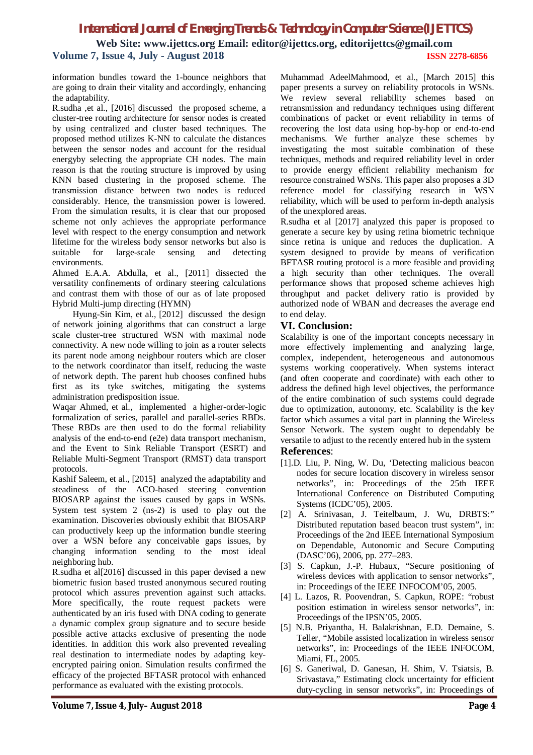# *International Journal of Emerging Trends & Technology in Computer Science (IJETTCS)* **Web Site: www.ijettcs.org Email: editor@ijettcs.org, [editorijettcs@gmail.com](mailto:editorijettcs@gmail.com)  Volume 7, Issue 4, July - August 2018 ISSN 2278-6856**

information bundles toward the 1-bounce neighbors that are going to drain their vitality and accordingly, enhancing the adaptability.

R.sudha ,et al., [2016] discussed the proposed scheme, a cluster-tree routing architecture for sensor nodes is created by using centralized and cluster based techniques. The proposed method utilizes K-NN to calculate the distances between the sensor nodes and account for the residual energyby selecting the appropriate CH nodes. The main reason is that the routing structure is improved by using KNN based clustering in the proposed scheme. The transmission distance between two nodes is reduced considerably. Hence, the transmission power is lowered. From the simulation results, it is clear that our proposed scheme not only achieves the appropriate performance level with respect to the energy consumption and network lifetime for the wireless body sensor networks but also is suitable for large-scale sensing and detecting environments.

Ahmed E.A.A. Abdulla, et al., [2011] dissected the versatility confinements of ordinary steering calculations and contrast them with those of our as of late proposed Hybrid Multi-jump directing (HYMN)

Hyung-Sin Kim, et al., [2012] discussed the design of network joining algorithms that can construct a large scale cluster-tree structured WSN with maximal node connectivity. A new node willing to join as a router selects its parent node among neighbour routers which are closer to the network coordinator than itself, reducing the waste of network depth. The parent hub chooses confined hubs first as its tyke switches, mitigating the systems administration predisposition issue.

Waqar Ahmed, et al., implemented a higher-order-logic formalization of series, parallel and parallel-series RBDs. These RBDs are then used to do the formal reliability analysis of the end-to-end (e2e) data transport mechanism, and the Event to Sink Reliable Transport (ESRT) and Reliable Multi-Segment Transport (RMST) data transport protocols.

Kashif Saleem, et al., [2015] analyzed the adaptability and steadiness of the ACO-based steering convention BIOSARP against the issues caused by gaps in WSNs. System test system 2 (ns-2) is used to play out the examination. Discoveries obviously exhibit that BIOSARP can productively keep up the information bundle steering over a WSN before any conceivable gaps issues, by changing information sending to the most ideal neighboring hub.

R.sudha et al[2016] discussed in this paper devised a new biometric fusion based trusted anonymous secured routing protocol which assures prevention against such attacks. More specifically, the route request packets were authenticated by an iris fused with DNA coding to generate a dynamic complex group signature and to secure beside possible active attacks exclusive of presenting the node identities. In addition this work also prevented revealing real destination to intermediate nodes by adapting keyencrypted pairing onion. Simulation results confirmed the efficacy of the projected BFTASR protocol with enhanced performance as evaluated with the existing protocols.

Muhammad AdeelMahmood, et al., [March 2015] this paper presents a survey on reliability protocols in WSNs. We review several reliability schemes based on retransmission and redundancy techniques using different combinations of packet or event reliability in terms of recovering the lost data using hop-by-hop or end-to-end mechanisms. We further analyze these schemes by investigating the most suitable combination of these techniques, methods and required reliability level in order to provide energy efficient reliability mechanism for resource constrained WSNs. This paper also proposes a 3D reference model for classifying research in WSN reliability, which will be used to perform in-depth analysis of the unexplored areas.

R.sudha et al [2017] analyzed this paper is proposed to generate a secure key by using retina biometric technique since retina is unique and reduces the duplication. A system designed to provide by means of verification BFTASR routing protocol is a more feasible and providing a high security than other techniques. The overall performance shows that proposed scheme achieves high throughput and packet delivery ratio is provided by authorized node of WBAN and decreases the average end to end delay.

#### **VI. Conclusion:**

Scalability is one of the important concepts necessary in more effectively implementing and analyzing large, complex, independent, heterogeneous and autonomous systems working cooperatively. When systems interact (and often cooperate and coordinate) with each other to address the defined high level objectives, the performance of the entire combination of such systems could degrade due to optimization, autonomy, etc. Scalability is the key factor which assumes a vital part in planning the Wireless Sensor Network. The system ought to dependably be versatile to adjust to the recently entered hub in the system **References**:

- [1].D. Liu, P. Ning, W. Du, 'Detecting malicious beacon nodes for secure location discovery in wireless sensor networks", in: Proceedings of the 25th IEEE International Conference on Distributed Computing Systems (ICDC'05), 2005.
- [2] A. Srinivasan, J. Teitelbaum, J. Wu, DRBTS:" Distributed reputation based beacon trust system", in: Proceedings of the 2nd IEEE International Symposium on Dependable, Autonomic and Secure Computing (DASC'06), 2006, pp. 277–283.
- [3] S. Capkun, J.-P. Hubaux, "Secure positioning of wireless devices with application to sensor networks", in: Proceedings of the IEEE INFOCOM'05, 2005.
- [4] L. Lazos, R. Poovendran, S. Capkun, ROPE: "robust position estimation in wireless sensor networks", in: Proceedings of the IPSN'05, 2005.
- [5] N.B. Priyantha, H. Balakrishnan, E.D. Demaine, S. Teller, "Mobile assisted localization in wireless sensor networks", in: Proceedings of the IEEE INFOCOM, Miami, FL, 2005.
- [6] S. Ganeriwal, D. Ganesan, H. Shim, V. Tsiatsis, B. Srivastava," Estimating clock uncertainty for efficient duty-cycling in sensor networks", in: Proceedings of